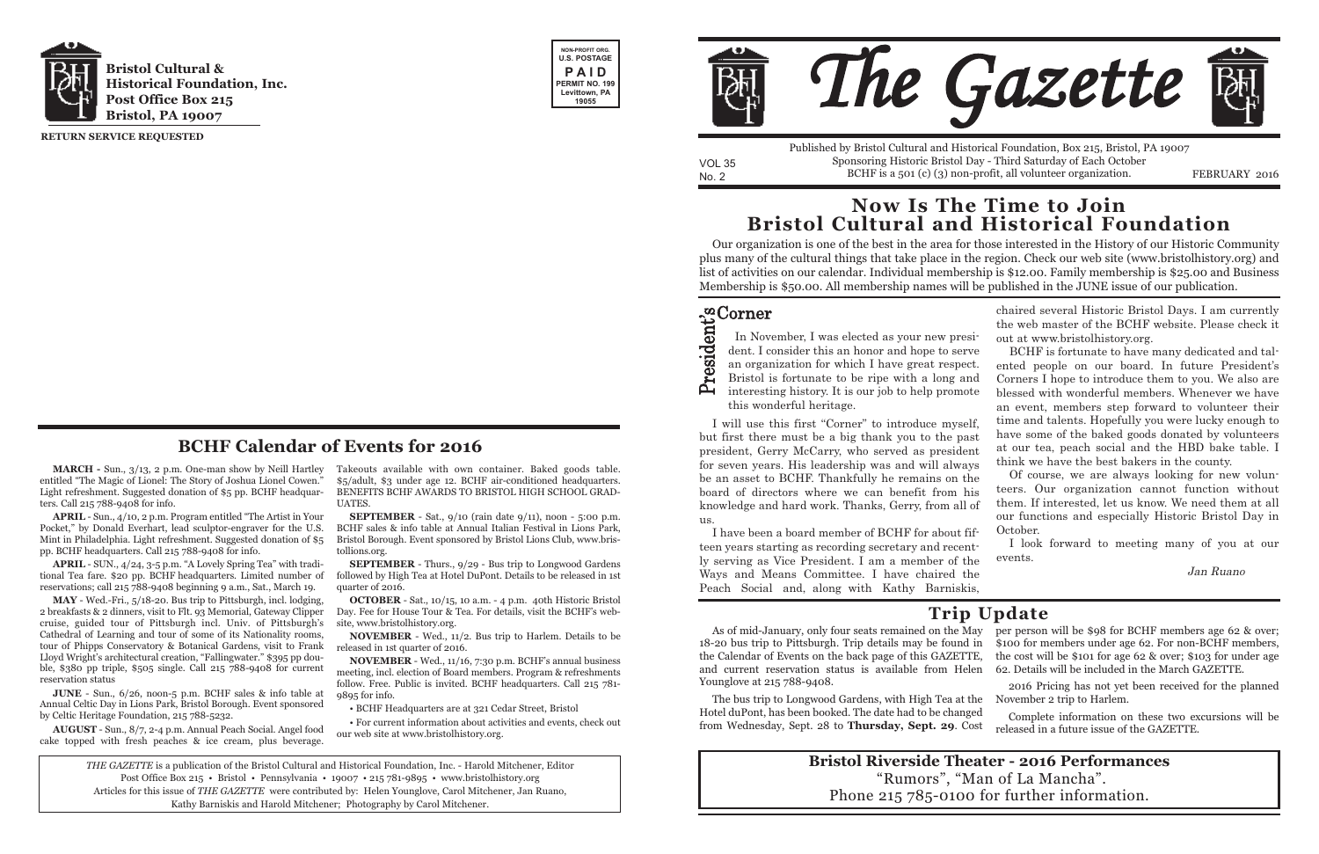**MARCH -** Sun., 3/13, 2 p.m. One-man show by Neill Hartley entitled "The Magic of Lionel: The Story of Joshua Lionel Cowen." Light refreshment. Suggested donation of \$5 pp. BCHF headquarters. Call 215 788-9408 for info.

**APRIL** - Sun., 4/10, 2 p.m. Program entitled "The Artist in Your Pocket," by Donald Everhart, lead sculptor-engraver for the U.S. Mint in Philadelphia. Light refreshment. Suggested donation of \$5 pp. BCHF headquarters. Call 215 788-9408 for info.

**APRIL** - SUN., 4/24, 3-5 p.m. "A Lovely Spring Tea" with traditional Tea fare. \$20 pp. BCHF headquarters. Limited number of reservations; call 215 788-9408 beginning 9 a.m., Sat., March 19.

**MAY** - Wed.-Fri., 5/18-20. Bus trip to Pittsburgh, incl. lodging, 2 breakfasts & 2 dinners, visit to Flt. 93 Memorial, Gateway Clipper cruise, guided tour of Pittsburgh incl. Univ. of Pittsburgh's Cathedral of Learning and tour of some of its Nationality rooms, tour of Phipps Conservatory & Botanical Gardens, visit to Frank Lloyd Wright's architectural creation, "Fallingwater." \$395 pp double, \$380 pp triple, \$505 single. Call 215 788-9408 for current reservation status

**SEPTEMBER** - Sat., 9/10 (rain date 9/11), noon - 5:00 p.m. BCHF sales & info table at Annual Italian Festival in Lions Park, Bristol Borough. Event sponsored by Bristol Lions Club, www.bristollions.org.

**JUNE** - Sun., 6/26, noon-5 p.m. BCHF sales & info table at Annual Celtic Day in Lions Park, Bristol Borough. Event sponsored by Celtic Heritage Foundation, 215 788-5232.

**AUGUST** - Sun., 8/7, 2-4 p.m. Annual Peach Social. Angel food cake topped with fresh peaches & ice cream, plus beverage.

No. 2 BCHF is a 501 (c) (3) non-profit, all volunteer organization. FEBRUARY 2016 Published by Bristol Cultural and Historical Foundation, Box 215, Bristol, PA 19007 Sponsoring Historic Bristol Day - Third Saturday of Each October

Takeouts available with own container. Baked goods table. \$5/adult, \$3 under age 12. BCHF air-c0nditioned headquarters. BENEFITS BCHF AWARDS TO BRISTOL HIGH SCHOOL GRAD-UATES.

**SEPTEMBER** - Thurs., 9/29 - Bus trip to Longwood Gardens followed by High Tea at Hotel DuPont. Details to be released in 1st quarter of 2016.

**OCTOBER** - Sat., 10/15, 10 a.m. - 4 p.m. 40th Historic Bristol Day. Fee for House Tour & Tea. For details, visit the BCHF's website, www.bristolhistory.org.

**NOVEMBER** - Wed., 11/2. Bus trip to Harlem. Details to be released in 1st quarter of 2016.

**NOVEMBER** - Wed., 11/16, 7:30 p.m. BCHF's annual business meeting, incl. election of Board members. Program & refreshments follow. Free. Public is invited. BCHF headquarters. Call 215 781- 9895 for info.

#### Corner ີ<br>ີ

• BCHF Headquarters are at 321 Cedar Street, Bristol

• For current information about activities and events, check out our web site at www.bristolhistory.org.

I will use this first "Corner" to introduce myself but first there must be a big thank you to the pa president, Gerry McCarry, who served as president for seven years. His leadership was and will alway be an asset to BCHF. Thankfully he remains on the board of directors where we can benefit from h knowledge and hard work. Thanks, Gerry, from all us.





VOL 35

I have been a board member of BCHF for about f teen years starting as recording secretary and recently serving as Vice President. I am a member of the Ways and Means Committee. I have chaired the Peach Social and, along with Kathy Barniskis,

In November, I was elected as your new presdent. I consider this an honor and hope to ser an organization for which I have great respect. Bristol is fortunate to be ripe with a long and interesting history. It is our job to help promo this wonderful heritage.

**RETURN SERVICE REQUESTED**

*THE GAZETTE* is a publication of the Bristol Cultural and Historical Foundation, Inc. - Harold Mitchener, Editor Post Office Box 215 • Bristol • Pennsylvania • 19007 • 215 781-9895 • www.bristolhistory.org Articles for this issue of *THE GAZETTE* were contributed by: Helen Younglove, Carol Mitchener, Jan Ruano, Kathy Barniskis and Harold Mitchener; Photography by Carol Mitchener.



## **BCHF Calendar of Events for 2016**

Our organization is one of the best in the area for those interested in the History of our Historic Community plus many of the cultural things that take place in the region. Check our web site (www.bristolhistory.org) and list of activities on our calendar. Individual membership is \$12.00. Family membership is \$25.00 and Business Membership is \$50.00. All membership names will be published in the JUNE issue of our publication.

## **Now Is The Time to Join Bristol Cultural and Historical Foundation**

As of mid-January, only four seats remained on the May per person will be \$98 for BCHF members age 62 & over; 18-20 bus trip to Pittsburgh. Trip details may be found in \$100 for members under age 62. For non-BCHF members, the Calendar of Events on the back page of this GAZETTE, and current reservation status is available from Helen Younglove at 215 788-9408. the cost will be \$101 for age 62 & over; \$103 for under age 62. Details will be included in the March GAZETTE.

The bus trip to Longwood Gardens, with High Tea at the Hotel duPont, has been booked. The date had to be changed from Wednesday, Sept. 28 to **Thursday, Sept. 29**. Cost November 2 trip to Harlem. Complete information on these two excursions will be released in a future issue of the GAZETTE.

2016 Pricing has not yet been received for the planned

## **Trip Update**

### **Bristol Riverside Theater - 2016 Performances** "Rumors", "Man of La Mancha". Phone 215 785-0100 for further information.



|                 | chaired several Historic Bristol Days. I am currently |
|-----------------|-------------------------------------------------------|
|                 | the web master of the BCHF website. Please check it   |
| si-             | out at www.bristolhistory.org.                        |
| ve              | BCHF is fortunate to have many dedicated and tal-     |
| ct.             | ented people on our board. In future President's      |
| nd              | Corners I hope to introduce them to you. We also are  |
| ite             | blessed with wonderful members. Whenever we have      |
|                 | an event, members step forward to volunteer their     |
| lf,             | time and talents. Hopefully you were lucky enough to  |
| ıst             | have some of the baked goods donated by volunteers    |
| nt              | at our tea, peach social and the HBD bake table. I    |
| ys              | think we have the best bakers in the county.          |
| he              | Of course, we are always looking for new volun-       |
| $\mathrm{is}\,$ | teers. Our organization cannot function without       |
| of              | them. If interested, let us know. We need them at all |
|                 | our functions and especially Historic Bristol Day in  |
| ïf-             | October.                                              |
| ıt-             | I look forward to meeting many of you at our          |
| he              | events.                                               |
| he              | Jan Ruano                                             |
| ic              |                                                       |
|                 |                                                       |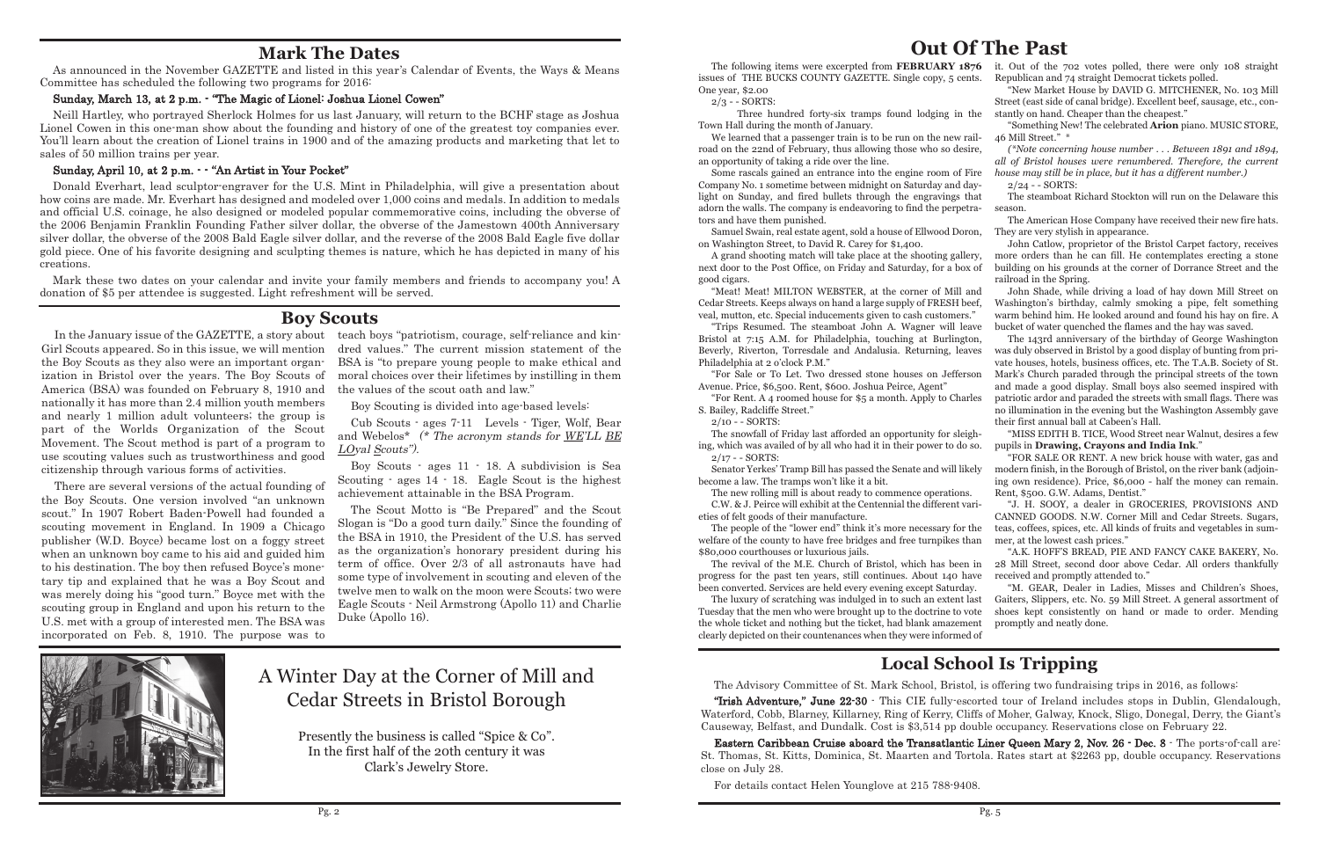## **Out Of The Past**

The following items were excerpted from **FEBRUARY 1876** issues of THE BUCKS COUNTY GAZETTE. Single copy, 5 cents. One year, \$2.00

Three hundred forty-six tramps found lodging in Town Hall during the month of January.

2/3 - - SORTS:

We learned that a passenger train is to be run on the new r road on the 22nd of February, thus allowing those who so des an opportunity of taking a ride over the line.

Some rascals gained an entrance into the engine room of I Company No. 1 sometime between midnight on Saturday and d light on Sunday, and fired bullets through the engravings t adorn the walls. The company is endeavoring to find the perpet tors and have them punished.

Samuel Swain, real estate agent, sold a house of Ellwood Dor on Washington Street, to David R. Carey for \$1,400.

A grand shooting match will take place at the shooting galler next door to the Post Office, on Friday and Saturday, for a box good cigars.

"Meat! Meat! MILTON WEBSTER, at the corner of Mill a Cedar Streets. Keeps always on hand a large supply of FRESH be veal, mutton, etc. Special inducements given to cash customers

"Trips Resumed. The steamboat John A. Wagner will lea Bristol at 7:15 A.M. for Philadelphia, touching at Burlingt Beverly, Riverton, Torresdale and Andalusia. Returning, lea Philadelphia at 2 o'clock P.M."

"For Sale or To Let. Two dressed stone houses on Jeffers Avenue. Price, \$6,500. Rent, \$600. Joshua Peirce, Agent"

The snowfall of Friday last afforded an opportunity for slei ing, which was availed of by all who had it in their power to do 2/17 - - SORTS:

Senator Yerkes' Tramp Bill has passed the Senate and will like become a law. The tramps won't like it a bit.

The people of the "lower end" think it's more necessary for welfare of the county to have free bridges and free turnpikes than \$80,000 courthouses or luxurious jails.

The revival of the M.E. Church of Bristol, which has been progress for the past ten years, still continues. About 140 h been converted. Services are held every evening except Saturda

The luxury of scratching was indulged in to such an extent Tuesday that the men who were brought up to the doctrine to v the whole ticket and nothing but the ticket, had blank amazem clearly depicted on their countenances when they were informed

"For Rent. A 4 roomed house for \$5 a month. Apply to Charles S. Bailey, Radcliffe Street."

2/10 - - SORTS:

The new rolling mill is about ready to commence operations. C.W. & J. Peirce will exhibit at the Centennial the different va eties of felt goods of their manufacture.

| 376                    | it. Out of the 702 votes polled, there were only 108 straight                                                                                |
|------------------------|----------------------------------------------------------------------------------------------------------------------------------------------|
| nts.                   | Republican and 74 straight Democrat tickets polled.<br>"New Market House by DAVID G. MITCHENER, No. 103 Mill                                 |
|                        | Street (east side of canal bridge). Excellent beef, sausage, etc., con-                                                                      |
| the                    | stantly on hand. Cheaper than the cheapest."<br>"Something New! The celebrated Arion piano. MUSIC STORE,                                     |
| ail-                   | 46 Mill Street." *                                                                                                                           |
| ire,                   | (*Note concerning house number Between 1891 and 1894,                                                                                        |
|                        | all of Bristol houses were renumbered. Therefore, the current                                                                                |
| Fire                   | house may still be in place, but it has a different number.)                                                                                 |
| lay-                   | 2/24 - - SORTS:                                                                                                                              |
| hat                    | The steamboat Richard Stockton will run on the Delaware this                                                                                 |
| tra-                   | season.                                                                                                                                      |
|                        | The American Hose Company have received their new fire hats.                                                                                 |
| on,                    | They are very stylish in appearance.                                                                                                         |
|                        | John Catlow, proprietor of the Bristol Carpet factory, receives                                                                              |
| ery,<br>x of           | more orders than he can fill. He contemplates erecting a stone<br>building on his grounds at the corner of Dorrance Street and the           |
|                        | railroad in the Spring.                                                                                                                      |
| and                    | John Shade, while driving a load of hay down Mill Street on                                                                                  |
| eef,                   | Washington's birthday, calmly smoking a pipe, felt something                                                                                 |
| $\mathbf{S}^{\bullet}$ | warm behind him. He looked around and found his hay on fire. A                                                                               |
| ave                    | bucket of water quenched the flames and the hay was saved.                                                                                   |
| юn,                    | The 143rd anniversary of the birthday of George Washington                                                                                   |
| ves                    | was duly observed in Bristol by a good display of bunting from pri-<br>vate houses, hotels, business offices, etc. The T.A.B. Society of St. |
| son                    | Mark's Church paraded through the principal streets of the town                                                                              |
|                        | and made a good display. Small boys also seemed inspired with                                                                                |
| rles                   | patriotic ardor and paraded the streets with small flags. There was                                                                          |
|                        | no illumination in the evening but the Washington Assembly gave                                                                              |
|                        | their first annual ball at Cabeen's Hall.                                                                                                    |
| gh-                    | "MISS EDITH B. TICE, Wood Street near Walnut, desires a few                                                                                  |
| SO.                    | pupils in Drawing, Crayons and India Ink."                                                                                                   |
|                        | "FOR SALE OR RENT. A new brick house with water, gas and                                                                                     |
| tely                   | modern finish, in the Borough of Bristol, on the river bank (adjoin-                                                                         |
|                        | ing own residence). Price, \$6,000 - half the money can remain.                                                                              |
| $\mathbf{S}$ .         | Rent, \$500. G.W. Adams, Dentist."                                                                                                           |
| ari-                   | "J. H. SOOY, a dealer in GROCERIES, PROVISIONS AND<br>CANNED GOODS. N.W. Corner Mill and Cedar Streets. Sugars,                              |
| the                    | teas, coffees, spices, etc. All kinds of fruits and vegetables in sum-                                                                       |
| nan                    | mer, at the lowest cash prices."                                                                                                             |
|                        | "A.K. HOFF'S BREAD, PIE AND FANCY CAKE BAKERY, No.                                                                                           |
| ı in                   | 28 Mill Street, second door above Cedar. All orders thankfully                                                                               |
| ave                    | received and promptly attended to."                                                                                                          |
| ıу.                    | "M. GEAR, Dealer in Ladies, Misses and Children's Shoes,                                                                                     |
| last                   | Gaiters, Slippers, etc. No. 59 Mill Street. A general assortment of                                                                          |
| ote                    | shoes kept consistently on hand or made to order. Mending                                                                                    |
| ent                    | promptly and neatly done.                                                                                                                    |
| d of                   |                                                                                                                                              |

### **Boy Scouts**

# **Local School Is Tripping**

The Advisory Committee of St. Mark School, Bristol, is offering two fundraising trips in 2016, as follows:

"Irish Adventure," June 22-30 - This CIE fully-escorted tour of Ireland includes stops in Dublin, Glendalough, Waterford, Cobb, Blarney, Killarney, Ring of Kerry, Cliffs of Moher, Galway, Knock, Sligo, Donegal, Derry, the Giant's Causeway, Belfast, and Dundalk. Cost is \$3,514 pp double occupancy. Reservations close on February 22.

Eastern Caribbean Cruise aboard the Transatlantic Liner Queen Mary 2, Nov. 26 - Dec. 8 - The ports-of-call are: St. Thomas, St. Kitts, Dominica, St. Maarten and Tortola. Rates start at \$2263 pp, double occupancy. Reservations close on July 28.

For details contact Helen Younglove at 215 788-9408.

Girl Scouts appeared. So in this issue, we will mention the Boy Scouts as they also were an important organization in Bristol over the years. The Boy Scouts of America (BSA) was founded on February 8, 1910 and nationally it has more than 2.4 million youth members and nearly 1 million adult volunteers; the group is part of the Worlds Organization of the Scout Movement. The Scout method is part of a program to use scouting values such as trustworthiness and good citizenship through various forms of activities.

In the January issue of the GAZETTE, a story about teach boys "patriotism, courage, self-reliance and kindred values." The current mission statement of the BSA is "to prepare young people to make ethical and moral choices over their lifetimes by instilling in them the values of the scout oath and law."

There are several versions of the actual founding of the Boy Scouts. One version involved "an unknown scout." In 1907 Robert Baden-Powell had founded a scouting movement in England. In 1909 a Chicago publisher (W.D. Boyce) became lost on a foggy street when an unknown boy came to his aid and guided him to his destination. The boy then refused Boyce's monetary tip and explained that he was a Boy Scout and was merely doing his "good turn." Boyce met with the scouting group in England and upon his return to the U.S. met with a group of interested men. The BSA was incorporated on Feb. 8, 1910. The purpose was to

Boy Scouting is divided into age-based levels:

Cub Scouts - ages 7-11 Levels - Tiger, Wolf, Bear and Webelos\* (\* The acronym stands for WE'LL BE LOyal Scouts").

Boy Scouts - ages 11 - 18. A subdivision is Sea Scouting - ages 14 - 18. Eagle Scout is the highest achievement attainable in the BSA Program.

The Scout Motto is "Be Prepared" and the Scout Slogan is "Do a good turn daily." Since the founding of the BSA in 1910, the President of the U.S. has served as the organization's honorary president during his term of office. Over 2/3 of all astronauts have had some type of involvement in scouting and eleven of the twelve men to walk on the moon were Scouts; two were Eagle Scouts - Neil Armstrong (Apollo 11) and Charlie Duke (Apollo 16).



## **Mark The Dates**

As announced in the November GAZETTE and listed in this year's Calendar of Events, the Ways & Means Committee has scheduled the following two programs for 2016:

#### Sunday, March 13, at 2 p.m. - "The Magic of Lionel: Joshua Lionel Cowen"

Neill Hartley, who portrayed Sherlock Holmes for us last January, will return to the BCHF stage as Joshua Lionel Cowen in this one-man show about the founding and history of one of the greatest toy companies ever. You'll learn about the creation of Lionel trains in 1900 and of the amazing products and marketing that let to sales of 50 million trains per year.

#### Sunday, April 10, at 2 p.m. - - "An Artist in Your Pocket"

Donald Everhart, lead sculptor-engraver for the U.S. Mint in Philadelphia, will give a presentation about how coins are made. Mr. Everhart has designed and modeled over 1,000 coins and medals. In addition to medals and official U.S. coinage, he also designed or modeled popular commemorative coins, including the obverse of the 2006 Benjamin Franklin Founding Father silver dollar, the obverse of the Jamestown 400th Anniversary silver dollar, the obverse of the 2008 Bald Eagle silver dollar, and the reverse of the 2008 Bald Eagle five dollar gold piece. One of his favorite designing and sculpting themes is nature, which he has depicted in many of his creations.

Mark these two dates on your calendar and invite your family members and friends to accompany you! A donation of \$5 per attendee is suggested. Light refreshment will be served.

# A Winter Day at the Corner of Mill and Cedar Streets in Bristol Borough

Presently the business is called "Spice & Co". In the first half of the 20th century it was Clark's Jewelry Store.